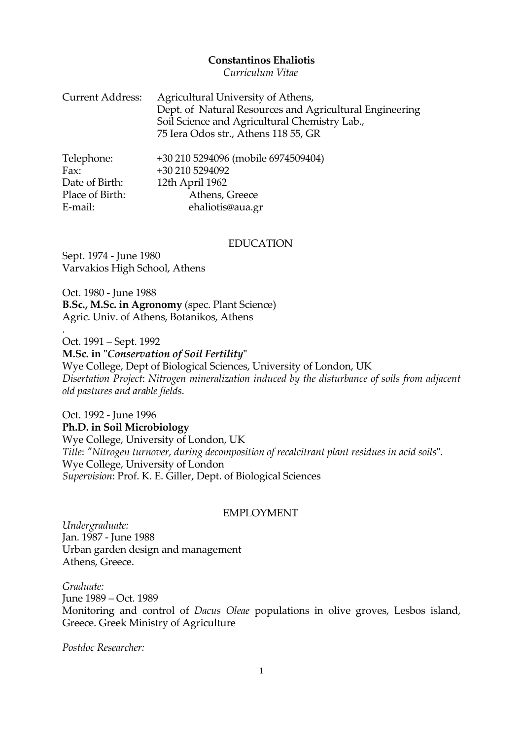#### **Constantinos Ehaliotis**

*Curriculum Vitae*

| <b>Current Address:</b> | Agricultural University of Athens,<br>Dept. of Natural Resources and Agricultural Engineering<br>Soil Science and Agricultural Chemistry Lab.,<br>75 Iera Odos str., Athens 118 55, GR |
|-------------------------|----------------------------------------------------------------------------------------------------------------------------------------------------------------------------------------|
| Telephone:              | +30 210 5294096 (mobile 6974509404)                                                                                                                                                    |
| Fax:                    | +30 210 5294092                                                                                                                                                                        |
| Date of Birth:          | 12th April 1962                                                                                                                                                                        |
| Place of Birth:         | Athens, Greece                                                                                                                                                                         |
| E-mail:                 | ehaliotis@aua.gr                                                                                                                                                                       |

ehaliotis@aua.gr

#### EDUCATION

Sept. 1974 - June 1980 Varvakios High School, Athens

.

Oct. 1980 - June 1988 **B.Sc., M.Sc. in Agronomy** (spec. Plant Science) Agric. Univ. of Athens, Botanikos, Athens

Oct. 1991 – Sept. 1992 **M.Sc. in "***Conservation of Soil Fertility***"** Wye College, Dept of Biological Sciences, University of London, UK *Disertation Project*: *Nitrogen mineralization induced by the disturbance of soils from adjacent old pastures and arable fields*.

Oct. 1992 - June 1996 **Ph.D. in Soil Microbiology** Wye College, University of London, UK *Title*: *"Nitrogen turnover, during decomposition of recalcitrant plant residues in acid soils*". Wye College, University of London *Supervision*: Prof. K. E. Giller, Dept. of Biological Sciences

#### EMPLOYMENT

*Undergraduate:* Jan. 1987 - June 1988 Urban garden design and management Athens, Greece.

*Graduate:* June 1989 – Oct. 1989 Monitoring and control of *Dacus Oleae* populations in olive groves, Lesbos island, Greece. Greek Ministry of Agriculture

*Postdoc Researcher:*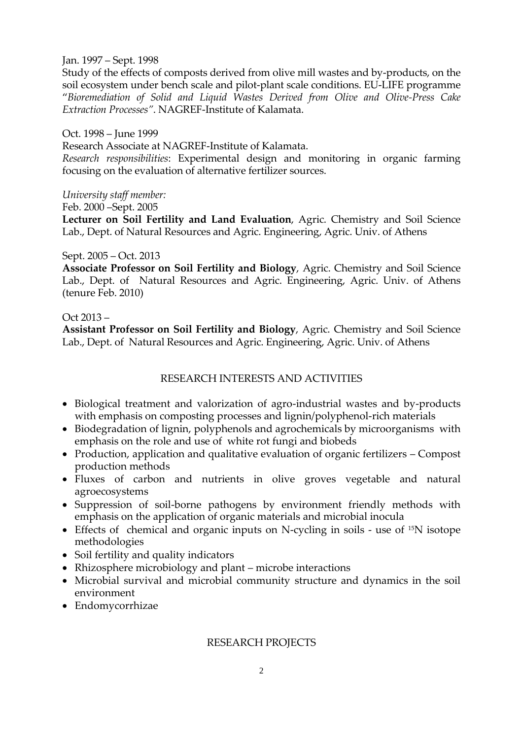### Jan. 1997 – Sept. 1998

Study of the effects of composts derived from olive mill wastes and by-products, on the soil ecosystem under bench scale and pilot-plant scale conditions. EU-LIFE programme "*Bioremediation of Solid and Liquid Wastes Derived from Olive and Olive-Press Cake Extraction Processes"*. NAGREF-Institute of Kalamata.

## Oct. 1998 – June 1999

Research Associate at NAGREF-Institute of Kalamata.

*Research responsibilities*: Experimental design and monitoring in organic farming focusing on the evaluation of alternative fertilizer sources.

## *University staff member:*

## Feb. 2000 –Sept. 2005

**Lecturer on Soil Fertility and Land Evaluation**, Agric. Chemistry and Soil Science Lab., Dept. of Natural Resources and Agric. Engineering, Agric. Univ. of Athens

# Sept. 2005 – Oct. 2013

**Associate Professor on Soil Fertility and Biology**, Agric. Chemistry and Soil Science Lab., Dept. of Natural Resources and Agric. Engineering, Agric. Univ. of Athens (tenure Feb. 2010)

# Oct 2013 –

**Assistant Professor on Soil Fertility and Biology**, Agric. Chemistry and Soil Science Lab., Dept. of Natural Resources and Agric. Engineering, Agric. Univ. of Athens

# RESEARCH INTERESTS AND ACTIVITIES

- Biological treatment and valorization of agro-industrial wastes and by-products with emphasis on composting processes and lignin/polyphenol-rich materials
- Biodegradation of lignin, polyphenols and agrochemicals by microorganisms with emphasis on the role and use of white rot fungi and biobeds
- Production, application and qualitative evaluation of organic fertilizers Compost production methods
- Fluxes of carbon and nutrients in olive groves vegetable and natural agroecosystems
- Suppression of soil-borne pathogens by environment friendly methods with emphasis on the application of organic materials and microbial inocula
- Effects of chemical and organic inputs on N-cycling in soils use of 15N isotope methodologies
- Soil fertility and quality indicators
- Rhizosphere microbiology and plant microbe interactions
- Microbial survival and microbial community structure and dynamics in the soil environment
- Endomycorrhizae

# RESEARCH PROJECTS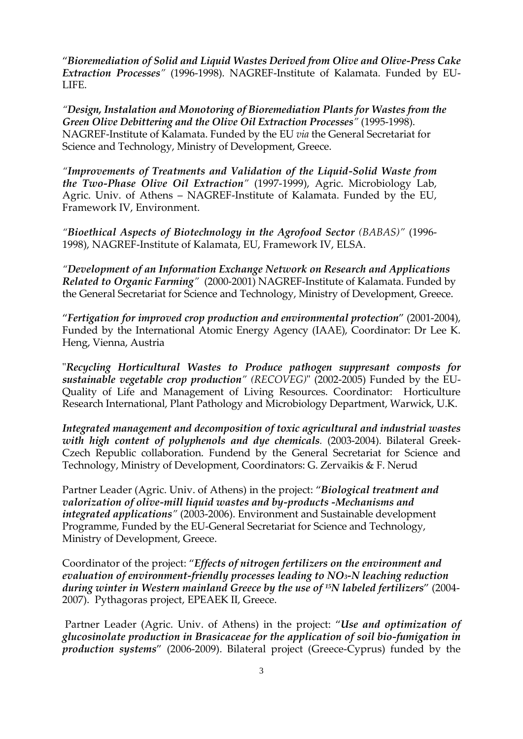"*Bioremediation of Solid and Liquid Wastes Derived from Olive and Olive-Press Cake Extraction Processes"* (1996-1998). NAGREF-Institute of Kalamata. Funded by EU-LIFE.

*"Design, Instalation and Monotoring of Bioremediation Plants for Wastes from the Green Olive Debittering and the Olive Oil Extraction Processes"* (1995-1998). NAGREF-Institute of Kalamata. Funded by the EU *via* the General Secretariat for Science and Technology, Ministry of Development, Greece.

*"Improvements of Treatments and Validation of the Liquid-Solid Waste from the Two-Phase Olive Oil Extraction"* (1997-1999), Agric. Microbiology Lab, Agric. Univ. of Athens – NAGREF-Institute of Kalamata. Funded by the EU, Framework IV, Environment.

*"Bioethical Aspects of Biotechnology in the Agrofood Sector (BABAS)"* (1996- 1998), NAGREF-Institute of Kalamata, EU, Framework IV, ELSA.

*"Development of an Information Exchange Network on Research and Applications Related to Organic Farming"* (2000-2001) NAGREF-Institute of Kalamata. Funded by the General Secretariat for Science and Technology, Ministry of Development, Greece.

"*Fertigation for improved crop production and environmental protection*" (2001-2004), Funded by the International Atomic Energy Agency (IAAE), Coordinator: Dr Lee K. Heng, Vienna, Austria

"*Recycling Horticultural Wastes to Produce pathogen suppresant composts for sustainable vegetable crop production" (RECOVEG)*" (2002-2005) Funded by the EU-Quality of Life and Management of Living Resources. Coordinator: Horticulture Research International, Plant Pathology and Microbiology Department, Warwick, U.K.

*Integrated management and decomposition of toxic agricultural and industrial wastes with high content of polyphenols and dye chemicals.* (2003-2004). Bilateral Greek-Czech Republic collaboration. Fundend by the General Secretariat for Science and Technology, Ministry of Development, Coordinators: G. Zervaikis & F. Nerud

Partner Leader (Agric. Univ. of Athens) in the project: "*Biological treatment and valorization of olive-mill liquid wastes and by-products -Mechanisms and integrated applications"* (2003-2006). Environment and Sustainable development Programme, Funded by the EU-General Secretariat for Science and Technology, Ministry of Development, Greece.

Coordinator of the project: "*Effects of nitrogen fertilizers on the environment and evaluation of environment-friendly processes leading to NO3-N leaching reduction during winter in Western mainland Greece by the use of 15N labeled fertilizers*" (2004- 2007). Pythagoras project, EPEAEK II, Greece.

Partner Leader (Agric. Univ. of Athens) in the project: "*Use and optimization of glucosinolate production in Brasicaceae for the application of soil bio-fumigation in production systems*" (2006-2009). Bilateral project (Greece-Cyprus) funded by the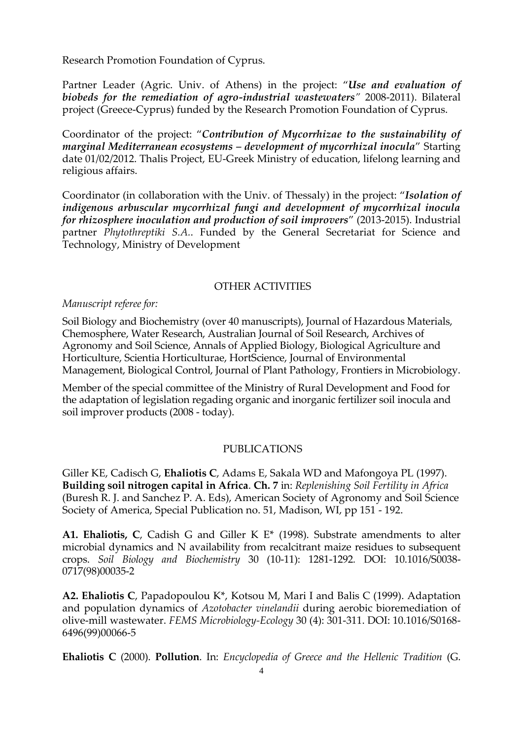Research Promotion Foundation of Cyprus.

Partner Leader (Agric. Univ. of Athens) in the project: "*Use and evaluation of biobeds for the remediation of agro-industrial wastewaters"* 2008-2011). Bilateral project (Greece-Cyprus) funded by the Research Promotion Foundation of Cyprus.

Coordinator of the project: "*Contribution of Mycorrhizae to the sustainability of marginal Mediterranean ecosystems – development of mycorrhizal inocula*" Starting date 01/02/2012. Thalis Project, EU-Greek Ministry of education, lifelong learning and religious affairs.

Coordinator (in collaboration with the Univ. of Thessaly) in the project: "*Isolation of indigenous arbuscular mycorrhizal fungi and development of mycorrhizal inocula for rhizosphere inoculation and production of soil improvers*" (2013-2015). Industrial partner *Phytothreptiki S.A.*. Funded by the General Secretariat for Science and Technology, Ministry of Development

## OTHER ACTIVITIES

#### *Manuscript referee for:*

Soil Biology and Biochemistry (over 40 manuscripts), Journal of Hazardous Materials, Chemosphere, Water Research, Australian Journal of Soil Research, Archives of Agronomy and Soil Science, Annals of Applied Biology, Biological Agriculture and Horticulture, Scientia Horticulturae, HortScience, Journal of Environmental Management, Biological Control, Journal of Plant Pathology, Frontiers in Microbiology.

Member of the special committee of the Ministry of Rural Development and Food for the adaptation of legislation regading organic and inorganic fertilizer soil inocula and soil improver products (2008 - today).

### PUBLICATIONS

Giller KE, Cadisch G, **Ehaliotis C**, Adams E, Sakala WD and Mafongoya PL (1997). **Building soil nitrogen capital in Africa**. **Ch. 7** in: *Replenishing Soil Fertility in Africa* (Buresh R. J. and Sanchez P. A. Eds), American Society of Agronomy and Soil Science Society of America, Special Publication no. 51, Madison, WI, pp 151 - 192.

**Α1. Ehaliotis, C**, Cadish G and Giller K E\* (1998). Substrate amendments to alter microbial dynamics and N availability from recalcitrant maize residues to subsequent crops. *Soil Biology and Biochemistry* 30 (10-11): 1281-1292*.* DOI: 10.1016/S0038- 0717(98)00035-2

**Α2. Ehaliotis C**, Papadopoulou K\*, Kotsou M, Mari I and Balis C (1999). Adaptation and population dynamics of *Azotobacter vinelandii* during aerobic bioremediation of olive-mill wastewater. *FEMS Microbiology-Ecology* 30 (4): 301-311. DOI: 10.1016/S0168- 6496(99)00066-5

**Ehaliotis C** (2000). **Pollution**. In: *Encyclopedia of Greece and the Hellenic Tradition* (G.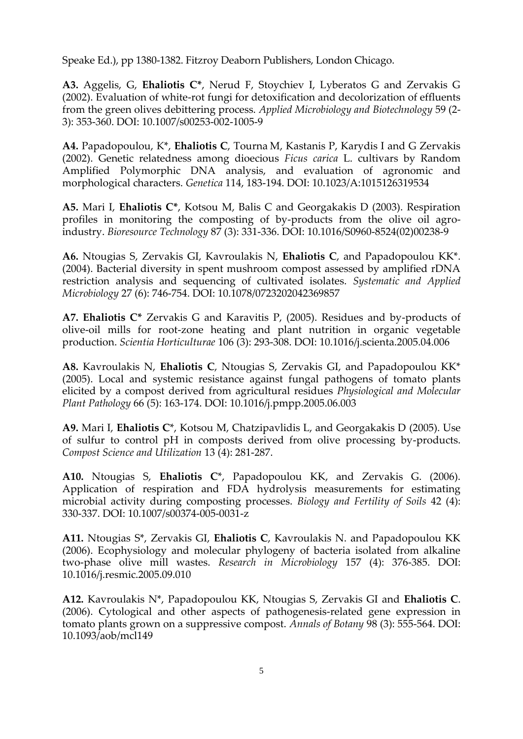Speake Ed.), pp 1380-1382. Fitzroy Deaborn Publishers, London Chicago.

**Α3.** Aggelis, G, **Ehaliotis C\***, Nerud F, Stoychiev I, Lyberatos G and Zervakis G (2002). Evaluation of white-rot fungi for detoxification and decolorization of effluents from the green olives debittering process. *Applied Microbiology and Biotechnology* 59 (2- 3): 353-360. DOI: 10.1007/s00253-002-1005-9

**Α4.** Papadopoulou, Κ\*, **Ehaliotis C**, Tourna M, Kastanis P, Karydis I and G Zervakis (2002). Genetic relatedness among dioecious *Ficus carica* L. cultivars by Random Amplified Polymorphic DNA analysis, and evaluation of agronomic and morphological characters. *Genetica* 114, 183-194. DOI: 10.1023/A:1015126319534

**Α5.** Mari I, **Ehaliotis C\***, Kotsou M, Balis C and Georgakakis D (2003). Respiration profiles in monitoring the composting of by-products from the olive oil agroindustry. *Bioresource Technology* 87 (3): 331-336. DOI: 10.1016/S0960-8524(02)00238-9

**Α6.** Ntougias S, Zervakis GI, Kavroulakis N, **Ehaliotis C**, and Papadopoulou KK\*. (2004). Bacterial diversity in spent mushroom compost assessed by amplified rDNA restriction analysis and sequencing of cultivated isolates. *Systematic and Applied Microbiology* 27 (6): 746-754. DOI: 10.1078/0723202042369857

**Α7. Ehaliotis C\*** Zervakis G and Karavitis P, (2005). Residues and by-products of olive-oil mills for root-zone heating and plant nutrition in organic vegetable production. *Scientia Horticulturae* 106 (3): 293-308. DOI: 10.1016/j.scienta.2005.04.006

**Α8.** Kavroulakis N, **Ehaliotis C**, Ntougias S, Zervakis GI, and Papadopoulou KK\* (2005). Local and systemic resistance against fungal pathogens of tomato plants elicited by a compost derived from agricultural residues *Physiological and Molecular Plant Pathology* 66 (5): 163-174. DOI: 10.1016/j.pmpp.2005.06.003

**Α9.** Mari I, **Ehaliotis C**\*, Kotsou M, Chatzipavlidis L, and Georgakakis D (2005). Use of sulfur to control pH in composts derived from olive processing by-products. *Compost Science and Utilization* 13 (4): 281-287.

**Α10.** Ntougias S, **Ehaliotis C**\*, Papadopoulou KK, and Zervakis G. (2006). Application of respiration and FDA hydrolysis measurements for estimating microbial activity during composting processes. *Biology and Fertility of Soils* 42 (4): 330-337. DOI: 10.1007/s00374-005-0031-z

**Α11.** Ntougias S\*, Zervakis GI, **Ehaliotis C**, Kavroulakis N. and Papadopoulou KK (2006). Ecophysiology and molecular phylogeny of bacteria isolated from alkaline two-phase olive mill wastes. *Research in Microbiology* 157 (4): 376-385. DOI: 10.1016/j.resmic.2005.09.010

**Α12.** Kavroulakis N\*, Papadopoulou KK, Ntougias S, Zervakis GI and **Ehaliotis C**. (2006). Cytological and other aspects of pathogenesis-related gene expression in tomato plants grown on a suppressive compost. *Annals of Botany* 98 (3): 555-564. DOI: 10.1093/aob/mcl149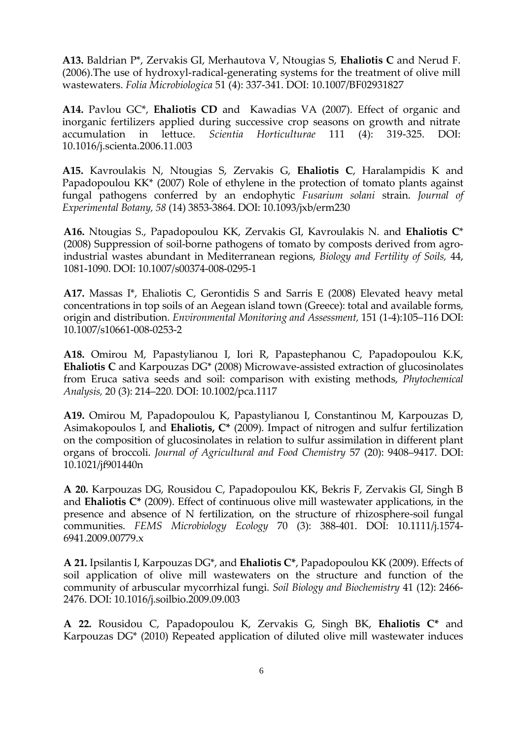**Α13.** Baldrian P\*, Zervakis GI, Merhautova V, Ntougias S, **Ehaliotis C** and Nerud F. (2006).The use of hydroxyl-radical-generating systems for the treatment of olive mill wastewaters. *Folia Microbiologica* 51 (4): 337-341. DOI: 10.1007/BF02931827

**Α14.** Pavlou GC\*, **Ehaliotis CD** and Kawadias VA (2007). Effect of organic and inorganic fertilizers applied during successive crop seasons on growth and nitrate accumulation in lettuce. *Scientia Horticulturae* 111 (4): 319-325. DOI: 10.1016/j.scienta.2006.11.003

**Α15.** Κavroulakis N, Ntougias S, Zervakis G, **Ehaliotis C**, Haralampidis K and Papadopoulou KK\* (2007) Role of ethylene in the protection of tomato plants against fungal pathogens conferred by an endophytic *Fusarium solani* strain. *Journal of Experimental Botany, 58* (14) 3853-3864. DOI: 10.1093/jxb/erm230

**Α16.** Ntougias S., Papadopoulou KK, Zervakis GI, Kavroulakis N. and **Ehaliotis C**\* (2008) Suppression of soil-borne pathogens of tomato by composts derived from agroindustrial wastes abundant in Mediterranean regions, *Biology and Fertility of Soils,* 44, 1081-1090. DOI: 10.1007/s00374-008-0295-1

**Α17.** Massas Ι\*, Ehaliotis C, Gerontidis S and Sarris E (2008) Elevated heavy metal concentrations in top soils of an Aegean island town (Greece): total and available forms, origin and distribution. *Εnvironmental Monitoring and Assessment,* 151 (1-4):105–116 DOI: 10.1007/s10661-008-0253-2

**Α18.** Omirou M, Papastylianou I, Iori R, Papastephanou C, Papadopoulou K.K, **Ehaliotis C** and Karpouzas DG\* (2008) Microwave-assisted extraction of glucosinolates from Eruca sativa seeds and soil: comparison with existing methods, *Phytochemical Αnalysis,* 20 (3): 214–220*.* DOI: 10.1002/pca.1117

**A19.** Omirou M, Papadopoulou K, Papastylianou I, Constantinou M, Karpouzas D, Asimakopoulos I, and **Ehaliotis, C\*** (2009). Impact of nitrogen and sulfur fertilization on the composition of glucosinolates in relation to sulfur assimilation in different plant organs of broccoli. *Journal of Agricultural and Food Chemistry* 57 (20): 9408–9417. DOI: 10.1021/jf901440n

**A 20.** Karpouzas DG, Rousidou C, Papadopoulou KK, Bekris F, Zervakis GI, Singh B and **Ehaliotis C\*** (2009). Effect of continuous olive mill wastewater applications, in the presence and absence of N fertilization, on the structure of rhizosphere-soil fungal communities. *FEMS Microbiology Ecology* 70 (3): 388-401. DOI: 10.1111/j.1574- 6941.2009.00779.x

**A 21.** Ipsilantis I, Karpouzas DG\*, and **Ehaliotis C\***, Papadopoulou KK (2009). Effects of soil application of olive mill wastewaters on the structure and function of the community of arbuscular mycorrhizal fungi. *Soil Biology and Biochemistry* 41 (12): 2466- 2476. DOI: 10.1016/j.soilbio.2009.09.003

**A 22.** Rousidou C, Papadopoulou K, Zervakis G, Singh BK, **Ehaliotis C\*** and Karpouzas DG\* (2010) Repeated application of diluted olive mill wastewater induces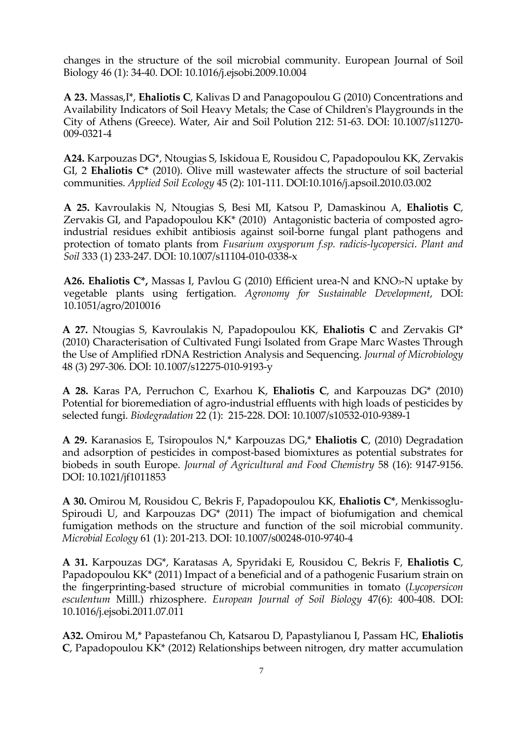changes in the structure of the soil microbial community. European Journal of Soil Biology 46 (1): 34-40. DOI: 10.1016/j.ejsobi.2009.10.004

**A 23.** Massas,I\*, **Ehaliotis C**, Kalivas D and Panagopoulou G (2010) Concentrations and Availability Indicators of Soil Heavy Metals; the Case of Children's Playgrounds in the City of Athens (Greece). Water, Air and Soil Polution 212: 51-63. DOI: 10.1007/s11270- 009-0321-4

**A24.** Karpouzas DG\*, Ntougias S, Iskidoua E, Rousidou C, Papadopoulou KK, Zervakis GI, 2 **Ehaliotis C\*** (2010). Olive mill wastewater affects the structure of soil bacterial communities. *Applied Soil Ecology* 45 (2): 101-111. DOI:10.1016/j.apsoil.2010.03.002

**A 25.** Kavroulakis N, Ntougias S, Besi MI, Katsou P, Damaskinou A, **Ehaliotis C**, Zervakis GI, and Papadopoulou KK\* (2010) Antagonistic bacteria of composted agroindustrial residues exhibit antibiosis against soil-borne fungal plant pathogens and protection of tomato plants from *Fusarium oxysporum f.sp. radicis-lycopersici*. *Plant and Soil* 333 (1) 233-247. DOI: 10.1007/s11104-010-0338-x

**A26. Ehaliotis C\*,** Massas I, Pavlou G (2010) Efficient urea-N and KNO3-N uptake by vegetable plants using fertigation. *Agronomy for Sustainable Development*, DOI: 10.1051/agro/2010016

**Α 27.** Ntougias S, Kavroulakis N, Papadopoulou KK, **Ehaliotis C** and Zervakis GI\* (2010) Characterisation of Cultivated Fungi Isolated from Grape Marc Wastes Through the Use of Amplified rDNA Restriction Analysis and Sequencing. *Journal of Microbiology* 48 (3) 297-306. DOI: 10.1007/s12275-010-9193-y

**Α 28.** Karas PA, Perruchon C, Exarhou K, **Ehaliotis C**, and Karpouzas DG\* (2010) Potential for bioremediation of agro-industrial effluents with high loads of pesticides by selected fungi. *Biodegradation* 22 (1): 215-228. DOI: 10.1007/s10532-010-9389-1

**A 29.** Karanasios E, Tsiropoulos N,\* Karpouzas DG,\* **Ehaliotis C**, (2010) Degradation and adsorption of pesticides in compost-based biomixtures as potential substrates for biobeds in south Europe. *Journal of Agricultural and Food Chemistry* 58 (16): 9147-9156. DOI: 10.1021/jf1011853

**A 30.** Omirou M, Rousidou C, Bekris F, Papadopoulou KK, **Ehaliotis C\***, Menkissoglu-Spiroudi U, and Karpouzas DG\* (2011) The impact of biofumigation and chemical fumigation methods on the structure and function of the soil microbial community. *Microbial Ecology* 61 (1): 201-213. DOI: 10.1007/s00248-010-9740-4

**A 31.** Karpouzas DG\*, Karatasas A, Spyridaki E, Rousidou C, Bekris F, **Ehaliotis C**, Papadopoulou KK\* (2011) Impact of a beneficial and of a pathogenic Fusarium strain on the fingerprinting-based structure of microbial communities in tomato (*Lycopersicon esculentum* Milll.) rhizosphere. *European Journal of Soil Biology* 47(6): 400-408. DOI: 10.1016/j.ejsobi.2011.07.011

**A32.** Omirou M,\* Papastefanou Ch, Katsarou D, Papastylianou I, Passam HC, **Ehaliotis C**, Papadopoulou KK\* (2012) Relationships between nitrogen, dry matter accumulation